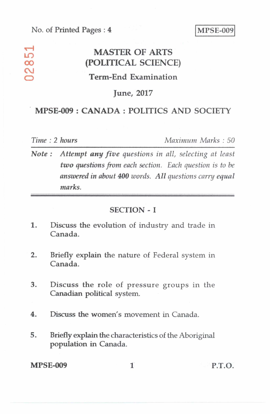## No. of Printed Pages : 4 MPSE-009

# **,--I MASTER OF ARTS Lir) CO (POLITICAL SCIENCE) Term-End Examination**

## **June, 2017**

## **MPSE-009 : CANADA : POLITICS AND SOCIETY**

 $\sim$ 

*Time : 2 hours Maximum Marks : 50* 

*Note : Attempt any five questions in all, selecting at least two questions from each section. Each question is to be answered in about 400 words. All questions carry equal marks.* 

#### **SECTION - I**

- **1.** Discuss the evolution of industry and trade in **Canada.**
- **2. Briefly explain the nature of** Federal system in **Canada.**
- **3. Discuss the role of pressure** groups in the **Canadian political system.**
- **4. Discuss the women's movement in Canada.**
- **5. Briefly explain the characteristics of the Aboriginal population in Canada.**

**MPSE-009** 1 P.T.O.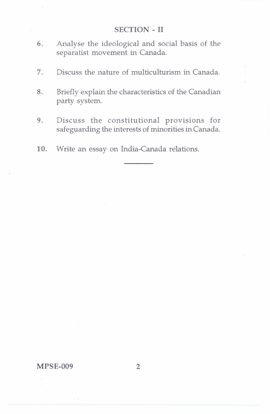#### SECTION - II

- 6. Analyse the ideological and social basis of the separatist movement in Canada.
- 7. Discuss the nature of multiculturism in Canada.
- 8. Briefly explain the characteristics of the Canadian party system.
- 9. Discuss the constitutional provisions for safeguarding the interests of minorities in Canada.
- 10. Write an essay on India-Canada relations.

MPSE-009 2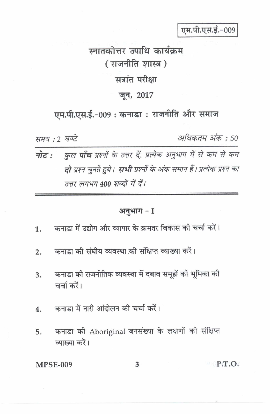एम.पी.एस.ई.-009

स्नातकोत्तर उपाधि कार्यक्रम (राजनीति शास्त्र) सत्रांत परीक्षा जून, 2017

एम.पी.एस.ई.-009: कनाडा: राजनीति और समाज

समय: 2 घण्टे

अधिकतम अंक : 50

नोट : कुल पाँच प्रश्नों के उत्तर दें, प्रत्येक अनुभाग में से कम से कम दो प्रश्न चुनते हुये। सभी प्रश्नों के अंक समान हैं। प्रत्येक प्रश्न का उत्तर लगभग 400 शब्दों में दें।

# अनुभाग - I

- कनाड़ा में उद्योग और व्यापार के क्रमतर विकास की चर्चा करें। 1.
- कनाड़ा की संघीय व्यवस्था की संक्षिप्त व्याख्या करें।  $2.$
- कनाडा की राजनीतिक व्यवस्था में दबाव समूहों की भूमिका की  $3<sub>1</sub>$ चर्चा करें।
- कनाडा में नारी आंदोलन की चर्चा करें। 4.
- कनाडा की Aboriginal जनसंख्या के लक्षणों की संक्षिप्त 5. व्याख्या करें।

**MPSE-009** 

**P.T.O.**